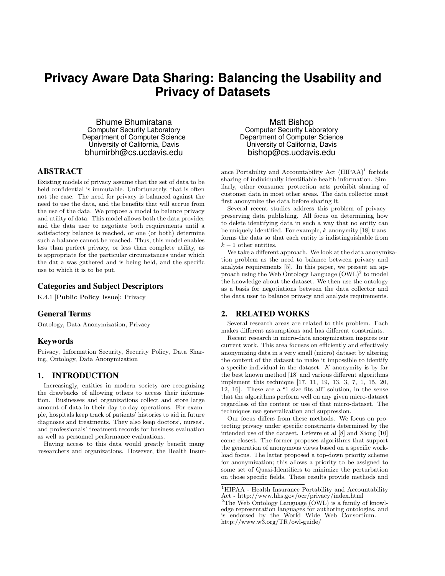# **Privacy Aware Data Sharing: Balancing the Usability and Privacy of Datasets**

Bhume Bhumiratana Computer Security Laboratory Department of Computer Science University of California, Davis bhumirbh@cs.ucdavis.edu

## ABSTRACT

Existing models of privacy assume that the set of data to be held confidential is immutable. Unfortunately, that is often not the case. The need for privacy is balanced against the need to use the data, and the benefits that will accrue from the use of the data. We propose a model to balance privacy and utility of data. This model allows both the data provider and the data user to negotiate both requirements until a satisfactory balance is reached, or one (or both) determine such a balance cannot be reached. Thus, this model enables less than perfect privacy, or less than complete utility, as is appropriate for the particular circumstances under which the dat a was gathered and is being held, and the specific use to which it is to be put.

## Categories and Subject Descriptors

K.4.1 [Public Policy Issue]: Privacy

## General Terms

Ontology, Data Anonymization, Privacy

# Keywords

Privacy, Information Security, Security Policy, Data Sharing, Ontology, Data Anonymization

# 1. INTRODUCTION

Increasingly, entities in modern society are recognizing the drawbacks of allowing others to access their information. Businesses and organizations collect and store large amount of data in their day to day operations. For example, hospitals keep track of patients' histories to aid in future diagnoses and treatments. They also keep doctors', nurses', and professionals' treatment records for business evaluation as well as personnel performance evaluations.

Having access to this data would greatly benefit many researchers and organizations. However, the Health Insur-

Matt Bishop Computer Security Laboratory Department of Computer Science University of California, Davis bishop@cs.ucdavis.edu

ance Portability and Accountability Act  $(HIPAA)^1$  forbids sharing of individually identifiable health information. Similarly, other consumer protection acts prohibit sharing of customer data in most other areas. The data collector must first anonymize the data before sharing it.

Several recent studies address this problem of privacypreserving data publishing. All focus on determining how to delete identifying data in such a way that no entity can be uniquely identified. For example, k-anonymity [18] transforms the data so that each entity is indistinguishable from  $k-1$  other entities.

We take a different approach. We look at the data anonymization problem as the need to balance between privacy and analysis requirements [5]. In this paper, we present an approach using the Web Ontology Language  $(OWL)^2$  to model the knowledge about the dataset. We then use the ontology as a basis for negotiations between the data collector and the data user to balance privacy and analysis requirements.

# 2. RELATED WORKS

Several research areas are related to this problem. Each makes different assumptions and has different constraints.

Recent research in micro-data anonymization inspires our current work. This area focuses on efficiently and effectively anonymizing data in a very small (micro) dataset by altering the content of the dataset to make it impossible to identify a specific individual in the dataset. K-anonymity is by far the best known method [18] and various different algorithms implement this technique [17, 11, 19, 13, 3, 7, 1, 15, 20, 12, 16]. These are a "1 size fits all" solution, in the sense that the algorithms perform well on any given micro-dataset regardless of the content or use of that micro-dataset. The techniques use generalization and suppression.

Our focus differs from these methods. We focus on protecting privacy under specific constraints determined by the intended use of the dataset. Lefevre et al [8] and Xiong [10] come closest. The former proposes algorithms that support the generation of anonymous views based on a specific workload focus. The latter proposed a top-down priority scheme for anonymization; this allows a priority to be assigned to some set of Quasi-Identifiers to minimize the perturbation on those specific fields. These results provide methods and

 $^1\rm HIPAA$  - Health Insurance Portability and Accountability Act - http://www.hhs.gov/ocr/privacy/index.html

 $2$ The Web Ontology Language (OWL) is a family of knowledge representation languages for authoring ontologies, and is endorsed by the World Wide Web Consortium. http://www.w3.org/TR/owl-guide/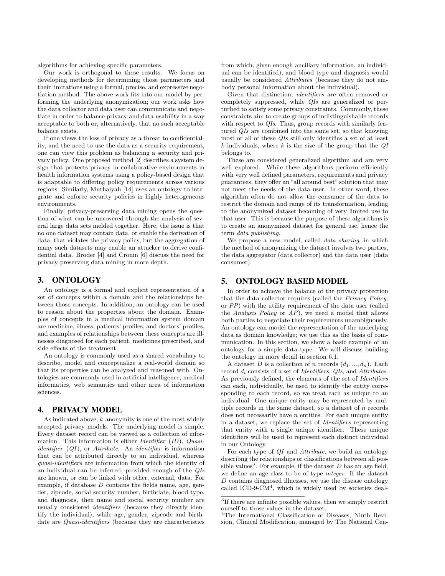algorithms for achieving specific parameters.

Our work is orthogonal to these results. We focus on developing methods for determining those parameters and their limitations using a formal, precise, and expressive negotiation method. The above work fits into our model by performing the underlying anonymization; our work asks how the data collector and data user can communicate and negotiate in order to balance privacy and data usability in a way acceptable to both or, alternatively, that no such acceptable balance exists.

If one views the loss of privacy as a threat to confidentiality, and the need to use the data as a security requirement, one can view this problem as balancing a security and privacy policy. One proposed method [2] describes a system design that protects privacy in collaborative environments in health information systems using a policy-based design that is adaptable to differing policy requirements across various regions. Similarly, Muthaiyah [14] uses an ontology to integrate and enforce security policies in highly heterogeneous environments.

Finally, privacy-preserving data mining opens the question of what can be uncovered through the analysis of several large data sets melded together. Here, the issue is that no one dataset may contain data, or enable the derivation of data, that violates the privacy policy, but the aggregation of many such datasets may enable an attacker to derive confidential data. Broder [4] and Cronin [6] discuss the need for privacy-preserving data mining in more depth.

## 3. ONTOLOGY

An ontology is a formal and explicit representation of a set of concepts within a domain and the relationships between those concepts. In addition, an ontology can be used to reason about the properties about the domain. Examples of concepts in a medical information system domain are medicine, illness, patients' profiles, and doctors' profiles, and examples of relationships between these concepts are illnesses diagnosed for each patient, medicines prescribed, and side effects of the treatment.

An ontology is commonly used as a shared vocabulary to describe, model and conceptualize a real-world domain so that its properties can be analyzed and reasoned with. Ontologies are commonly used in artificial intelligence, medical informatics, web semantics and other area of information sciences.

# 4. PRIVACY MODEL

As indicated above,  $k$ -anonymity is one of the most widely accepted privacy models. The underlying model is simple. Every dataset record can be viewed as a collection of information. This information is either *Identifier* (*ID*), *Quasiidentifier* (*QI* ), or *Attribute*. An *identifier* is information that can be attributed directly to an individual, whereas *quasi-identifiers* are information from which the identity of an individual can be inferred, provided enough of the *QIs* are known, or can be linked with other, external, data. For example, if database  $D$  contains the fields name, age, gender, zipcode, social security number, birthdate, blood type, and diagnosis, then name and social security number are usually considered *identifiers* (because they directly identify the individual), while age, gender, zipcode and birthdate are *Quasi-identifiers* (because they are characteristics from which, given enough ancillary information, an individual can be identified), and blood type and diagnosis would usually be considered *Attributes* (because they do not embody personal information about the individual).

Given that distinction, *identifiers* are often removed or completely suppressed, while *QIs* are generalized or perturbed to satisfy some privacy constraints. Commonly, these constraints aim to create groups of indistinguishable records with respect to *QIs*. Thus, group records with similarly featured *QIs* are combined into the same set, so that knowing most or all of these *QIs* still only identifies a set of at least k individuals, where k is the size of the group that the *QI* belongs to.

These are considered generalized algorithm and are very well explored. While these algorithms perform efficiently with very well defined parameters, requirements and privacy guarantees, they offer an "all around best" solution that may not meet the needs of the data user. In other word, these algorithm often do not allow the consumer of the data to restrict the domain and range of its transformation, leading to the anonymized dataset becoming of very limited use to that user. This is because the purpose of these algorithms is to create an anonymized dataset for general use, hence the term *data publishing*.

We propose a new model, called *data sharing*, in which the method of anonymizing the dataset involves two parties, the data aggregator (data collector) and the data user (data consumer).

## 5. ONTOLOGY BASED MODEL

In order to achieve the balance of the privacy protection that the data collector requires (called the *Privacy Policy*, or *PP*) with the utility requirement of the data user (called the *Analysis Policy* or *AP*), we need a model that allows both parties to negotiate their requirements unambiguously. An ontology can model the representation of the underlying data as domain knowledge; we use this as the basis of communication. In this section, we show a basic example of an ontology for a simple data type. We will discuss building the ontology in more detail in section 6.1.

A dataset D is a collection of n records  $(d_1, ..., d_n)$ . Each record d*<sup>i</sup>* consists of a set of *Identifiers*, *QIs*, and *Attributes*. As previously defined, the elements of the set of *Identifiers* can each, individually, be used to identify the entity corresponding to each record, so we treat each as unique to an individual. One unique entity may be represented by multiple records in the same dataset, so a dataset of  $n$  records does not necessarily have  $n$  entities. For each unique entity in a dataset, we replace the set of *Identifiers* representing that entity with a single unique identifier. These unique identifiers will be used to represent each distinct individual in our Ontology.

For each type of *QI* and *Attribute*, we build an ontology describng the relationships or classifications between all possible values<sup>3</sup>. For example, if the dataset  $D$  has an age field, we define an age class to be of type *integer*. If the dataset D contains diagnosed illnesses, we use the disease ontology called ICD-9-CM $4$ , which is widely used by societies deal-

<sup>3</sup>If there are infinite possible values, then we simply restrict ourself to those values in the dataset.

<sup>4</sup>The International Classification of Diseases, Ninth Revision, Clinical Modification, managed by The National Cen-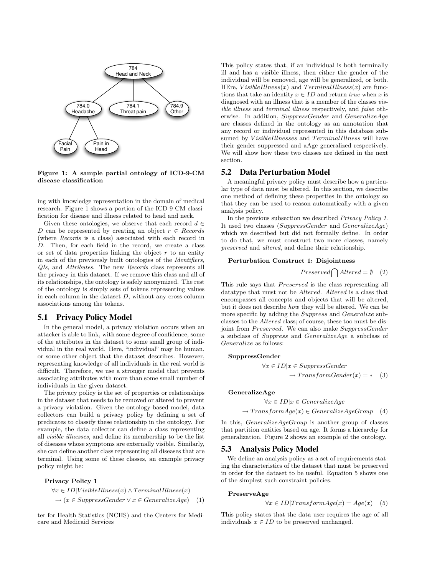

Figure 1: A sample partial ontology of ICD-9-CM disease classification

ing with knowledge representation in the domain of medical research. Figure 1 shows a portion of the ICD-9-CM classification for disease and illness related to head and neck.

Given these ontologies, we observe that each record  $d \in$ D can be represented by creating an object  $r \in Records$ (where *Records* is a class) associated with each record in D. Then, for each field in the record, we create a class or set of data properties linking the object  $r$  to an entity in each of the previously built ontologies of the *Identifiers*, *QIs*, and *Attributes*. The new *Records* class represents all the privacy in this dataset. If we remove this class and all of its relationships, the ontology is safely anonymized. The rest of the ontology is simply sets of tokens representing values in each column in the dataset  $D$ , without any cross-column associations among the tokens.

## 5.1 Privacy Policy Model

In the general model, a privacy violation occurs when an attacker is able to link, with some degree of confidence, some of the attributes in the dataset to some small group of individual in the real world. Here, "individual" may be human, or some other object that the dataset describes. However, representing knowledge of all individuals in the real world is difficult. Therefore, we use a stronger model that prevents associating attributes with more than some small number of individuals in the given dataset.

The privacy policy is the set of properties or relationships in the dataset that needs to be removed or altered to prevent a privacy violation. Given the ontology-based model, data collectors can build a privacy policy by defining a set of predicates to classify these relationship in the ontology. For example, the data collector can define a class representing all *visible illnesses*, and define its membership to be the list of diseases whose symptoms are externally visible. Similarly, she can define another class representing all diseases that are terminal. Using some of these classes, an example privacy policy might be:

#### Privacy Policy 1

 $\forall x \in ID|V isibleIllness(x) \land TerminalIllness(x)$  $\rightarrow (x \in SuppressGender \vee x \in GeneralizeAge)$  (1) This policy states that, if an individual is both terminally ill and has a visible illness, then either the gender of the individual will be removed, age will be generalized, or both. HEre,  $VisibleIllness(x)$  and  $TerminalIllness(x)$  are functions that take an identity  $x \in ID$  and return *true* when x is diagnosed with an illness that is a member of the classes *visible illness* and *terminal illness* respectively, and *false* otherwise. In addition, SuppressGender and GeneralizeAge are classes defined in the ontology as an annotation that any record or individual represented in this database subsumed by VisibleIllnesses and TerminalIllness will have their gender suppressed and aAge generalized respectively. We will show how these two classes are defined in the next section.

### 5.2 Data Perturbation Model

A meaningful privacy policy must describe how a particular type of data must be altered. In this section, we describe one method of defining these properties in the ontology so that they can be used to reason automatically with a given analysis policy.

In the previous subsection we described *Privacy Policy 1*. It used two classes (SuppressGender and GeneralizeAge) which we described but did not formally define. In order to do that, we must construct two more classes, namely *preserved* and *altered*, and define their relationship.

#### Perturbation Construct 1: Disjointness

$$
Presented \bigcap Altered = \emptyset \quad (2)
$$

This rule says that *Preserved* is the class representing all datatype that must not be Altered. Altered is a class that encompasses all concepts and objects that will be altered, but it does not describe *how* they will be altered. We can be more specific by adding the Suppress and Generalize subclasses to the Altered class; of course, these too must be disjoint from Preserved. We can also make SuppressGender a subclass of Suppress and GeneralizeAge a subclass of Generalize as follows:

#### SuppressGender

$$
\forall x \in ID | x \in SuppressGender
$$
  

$$
\rightarrow TransformGender(x) = * (3)
$$

GeneralizeAge

$$
\forall x \in ID | x \in Generalize Age
$$
  

$$
\rightarrow TransformAge(x) \in GeneralizeAgeGroup \quad (4)
$$

In this, *GeneralizeAgeGroup* is another group of classes that partition entities based on age. It forms a hierarchy for generalization. Figure 2 shows an example of the ontology.

## 5.3 Analysis Policy Model

We define an analysis policy as a set of requirements stating the characteristics of the dataset that must be preserved in order for the dataset to be useful. Equation 5 shows one of the simplest such constraint policies.

#### PreserveAge

 $\forall x \in ID | TransformAge(x) = Age(x)$  (5)

This policy states that the data user requires the age of all individuals  $x \in ID$  to be preserved unchanged.

ter for Health Statistics (NCHS) and the Centers for Medicare and Medicaid Services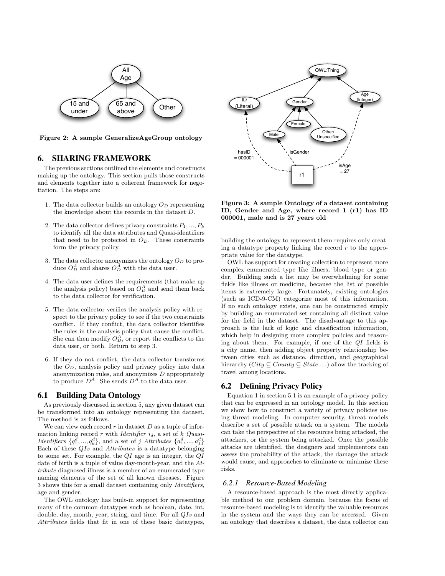

Figure 2: A sample GeneralizeAgeGroup ontology

# 6. SHARING FRAMEWORK

The previous sections outlined the elements and constructs making up the ontology. This section pulls those constructs and elements together into a coherent framework for negotiation. The steps are:

- 1. The data collector builds an ontology O*<sup>D</sup>* representing the knowledge about the records in the dataset D.
- 2. The data collector defines privacy constraints  $P_1, ..., P_k$ to identify all the data attributes and Quasi-identifiers that need to be protected in  $O<sub>D</sub>$ . These constraints form the privacy policy.
- 3. The data collector anonymizes the ontology  $O_D$  to produce  $O_D^A$  and shares  $O_D^A$  with the data user.
- 4. The data user defines the requirements (that make up the analysis policy) based on  $O_D^A$  and send them back to the data collector for verification.
- 5. The data collector verifies the analysis policy with respect to the privacy policy to see if the two constraints conflict. If they conflict, the data collector identifies the rules in the analysis policy that cause the conflict. She can then modify  $O_D^A$ , or report the conflicts to the data user, or both. Return to step 3.
- 6. If they do not conflict, the data collector transforms the O*D*, analysis policy and privacy policy into data anonymization rules, and anonymizes  $D$  appropriately to produce  $D^A$ . She sends  $D^A$  to the data user.

# 6.1 Building Data Ontology

As previously discussed in section 5, any given dataset can be transformed into an ontology representing the dataset. The method is as follows.

We can view each record  $r$  in dataset  $D$  as a tuple of information linking record r with *Identifier* i*d*, a set of k *Quasi-Identifiers*  $\{q_1^d, ..., q_k^d\}$ , and a set of j *Attributes*  $\{a_1^d, ..., a_j^d\}$ Each of these QIs and Attributes is a datatype belonging to some set. For example, the  $QI$  age is an integer, the  $QI$ date of birth is a tuple of value day-month-year, and the *Attribute* diagnosed illness is a member of an enumerated type naming elements of the set of all known diseases. Figure 3 shows this for a small dataset containing only *Identifiers*, age and gender.

The OWL ontology has built-in support for representing many of the common datatypes such as boolean, date, int, double, day, month, year, string, and time. For all QIs and Attributes fields that fit in one of these basic datatypes,



Figure 3: A sample Ontology of a dataset containing ID, Gender and Age, where record 1 (r1) has ID 000001, male and is 27 years old

building the ontology to represent them requires only creating a datatype property linking the record  $r$  to the appropriate value for the datatype.

OWL has support for creating collection to represent more complex enumerated type like illness, blood type or gender. Building such a list may be overwhelming for some fields like illness or medicine, because the list of possible items is extremely large. Fortunately, existing ontologies (such as ICD-9-CM) categorize most of this information. If no such ontology exists, one can be constructed simply by building an enumerated set containing all distinct value for the field in the dataset. The disadvantage to this approach is the lack of logic and classification information, which help in designing more complex policies and reasoning about them. For example, if one of the *QI* fields is a city name, then adding object property relationship between cities such as distance, direction, and geographical hierarchy  $(City \subseteq County \subseteq State...)$  allow the tracking of travel among locations.

## 6.2 Defining Privacy Policy

Equation 1 in section 5.1 is an example of a privacy policy that can be expressed in an ontology model. In this section we show how to construct a variety of privacy policies using threat modeling. In computer security, threat models describe a set of possible attack on a system. The models can take the perspective of the resources being attacked, the attackers, or the system being attacked. Once the possible attacks are identified, the designers and implementors can assess the probability of the attack, the damage the attack would cause, and approaches to eliminate or minimize these risks.

#### *6.2.1 Resource-Based Modeling*

A resource-based approach is the most directly applicable method to our problem domain, because the focus of resource-based modeling is to identify the valuable resources in the system and the ways they can be accessed. Given an ontology that describes a dataset, the data collector can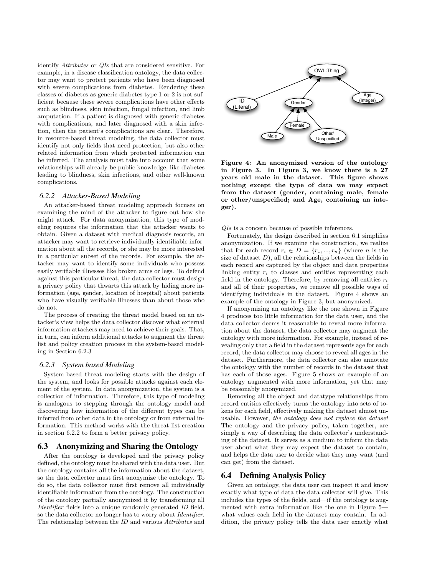identify *Attributes* or *QIs* that are considered sensitive. For example, in a disease classification ontology, the data collector may want to protect patients who have been diagnosed with severe complications from diabetes. Rendering these classes of diabetes as generic diabetes type 1 or 2 is not sufficient because these severe complications have other effects such as blindness, skin infection, fungal infection, and limb amputation. If a patient is diagnosed with generic diabetes with complications, and later diagnosed with a skin infection, then the patient's complications are clear. Therefore, in resource-based threat modeling, the data collector must identify not only fields that need protection, but also other related information from which protected information can be inferred. The analysis must take into account that some relationships will already be public knowledge, like diabetes leading to blindness, skin infections, and other well-known complications.

#### *6.2.2 Attacker-Based Modeling*

An attacker-based threat modeling approach focuses on examining the mind of the attacker to figure out how she might attack. For data anonymization, this type of modeling requires the information that the attacker wants to obtain. Given a dataset with medical diagnosis records, an attacker may want to retrieve individually identifiable information about all the records, or she may be more interested in a particular subset of the records. For example, the attacker may want to identify some individuals who possess easily verifiable illnesses like broken arms or legs. To defend against this particular threat, the data collector must design a privacy policy that thwarts this attack by hiding more information (age, gender, location of hospital) about patients who have visually verifiable illnesses than about those who do not.

The process of creating the threat model based on an attacker's view helps the data collector discover what external information attackers may need to achieve their goals. That, in turn, can inform additional attacks to augment the threat list and policy creation process in the system-based modeling in Section 6.2.3

#### *6.2.3 System based Modeling*

System-based threat modeling starts with the design of the system, and looks for possible attacks against each element of the system. In data anonymization, the system is a collection of information. Therefore, this type of modeling is analogous to stepping through the ontology model and discovering how information of the different types can be inferred from other data in the ontology or from external information. This method works with the threat list creation in section 6.2.2 to form a better privacy policy.

## 6.3 Anonymizing and Sharing the Ontology

After the ontology is developed and the privacy policy defined, the ontology must be shared with the data user. But the ontology contains all the information about the dataset, so the data collector must first anonymize the ontology. To do so, the data collector must first remove all individually identifiable information from the ontology. The construction of the ontology partially anonymized it by transforming all *Identifier* fields into a unique randomly generated *ID* field, so the data collector no longer has to worry about *Identifier*. The relationship between the *ID* and various *Attributes* and



Figure 4: An anonymized version of the ontology in Figure 3. In Figure 3, we know there is a 27 years old male in the dataset. This figure shows nothing except the type of data we may expect from the dataset (gender, containing male, female or other/unspecified; and Age, containing an integer).

*QIs* is a concern because of possible inferences.

Fortunately, the design described in section 6.1 simplifies anonymization. If we examine the construction, we realize that for each record  $r_i \in D = \{r_1, ..., r_n\}$  (where *n* is the size of dataset  $D$ ), all the relationships between the fields in each record are captured by the object and data properties linking entity  $r_i$  to classes and entities representing each field in the ontology. Therefore, by removing all entities  $r_i$ and all of their properties, we remove all possible ways of identifying individuals in the dataset. Figure 4 shows an example of the ontology in Figure 3, but anonymized.

If anonymizing an ontology like the one shown in Figure 4 produces too little information for the data user, and the data collector deems it reasonable to reveal more information about the dataset, the data collector may augment the ontology with more information. For example, instead of revealing only that a field in the dataset represents age for each record, the data collector may choose to reveal all ages in the dataset. Furthermore, the data collector can also annotate the ontology with the number of records in the dataset that has each of those ages. Figure 5 shows an example of an ontology augmented with more information, yet that may be reasonably anonymized.

Removing all the object and datatype relationships from record entities effectively turns the ontology into sets of tokens for each field, effectively making the dataset almost unusable. However, *the ontology does not replace the dataset* The ontology and the privacy policy, taken together, are simply a way of describing the data collector's understanding of the dataset. It serves as a medium to inform the data user about what they may expect the dataset to contain, and helps the data user to decide what they may want (and can get) from the dataset.

#### 6.4 Defining Analysis Policy

Given an ontology, the data user can inspect it and know exactly what type of data the data collector will give. This includes the types of the fields, and—if the ontology is augmented with extra information like the one in Figure 5 what values each field in the dataset may contain. In addition, the privacy policy tells the data user exactly what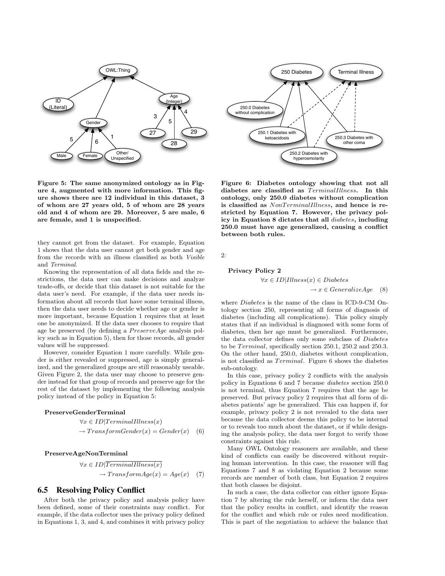

Figure 5: The same anonymized ontology as in Figure 4, augmented with more information. This figure shows there are 12 individual in this dataset, 3 of whom are 27 years old, 5 of whom are 28 years old and 4 of whom are 29. Moreover, 5 are male, 6 are female, and 1 is unspecified.

they cannot get from the dataset. For example, Equation 1 shows that the data user cannot get both gender and age from the records with an illness classified as both *Visible* and *Terminal*.

Knowing the representation of all data fields and the restrictions, the data user can make decisions and analyze trade-offs, or decide that this dataset is not suitable for the data user's need. For example, if the data user needs information about all records that have some terminal illness, then the data user needs to decide whether age or gender is more important, because Equation 1 requires that at least one be anonymized. If the data user chooses to require that age be preserved (by defining a  $PreserveAge$  analysis policy such as in Equation 5), then for those records, all gender values will be suppressed.

However, consider Equation 1 more carefully. While gender is either revealed or suppressed, age is simply generalized, and the generalized groups are still reasonably useable. Given Figure 2, the data user may choose to preserve gender instead for that group of records and preserve age for the rest of the dataset by implementing the following analysis policy instead of the policy in Equation 5:

#### PreserveGenderTerminal

 $\forall x \in ID | Terminal I llness(x)$  $\rightarrow TransformGender(x) = Gender(x)$  (6)

#### PreserveAgeNonTerminal

$$
\forall x \in ID | TerminalIllness(x)
$$

$$
\rightarrow TransformAge(x) = Age(x) \quad (7)
$$

#### 6.5 Resolving Policy Conflict

After both the privacy policy and analysis policy have been defined, some of their constraints may conflict. For example, if the data collector uses the privacy policy defined in Equations 1, 3, and 4, and combines it with privacy policy



Figure 6: Diabetes ontology showing that not all diabetes are classified as  $Terminallllness$ . In this ontology, only 250.0 diabetes without complication is classified as  $NonTerminal Illness$ , and hence is restricted by Equation 7. However, the privacy policy in Equation 8 dictates that all diabetes, including 250.0 must have age generalized, causing a conflict between both rules.

 $2:$ 

#### Privacy Policy 2

$$
\forall x \in ID | Illness(x) \in Diabetes
$$

$$
\rightarrow x \in Generalize Age \quad (8)
$$

where Diabetes is the name of the class in ICD-9-CM Ontology section 250, representing all forms of diagnosis of diabetes (including all complications). This policy simply states that if an individual is diagnosed with some form of diabetes, then her age must be generalized. Furthermore, the data collector defines only some subclass of Diabetes to be  $Terminal$ , specifically section 250.1, 250.2 and 250.3. On the other hand, 250.0, diabetes without complication, is not classified as *Terminal*. Figure 6 shows the diabetes sub-ontology.

In this case, privacy policy 2 conflicts with the analysis policy in Equations 6 and 7 because *diabetes* section 250.0 is not terminal, thus Equation 7 requires that the age be preserved. But privacy policy 2 requires that all form of diabetes patients' age be generalized. This can happen if, for example, privacy policy 2 is not revealed to the data user because the data collector deems this policy to be internal or to reveals too much about the dataset, or if while designing the analysis policy, the data user forgot to verify those constraints against this rule.

Many OWL Ontology reasoners are available, and these kind of conflicts can easily be discovered without requiring human intervention. In this case, the reasoner will flag Equations 7 and 8 as violating Equation 2 because some records are member of both class, but Equation 2 requires that both classes be disjoint.

In such a case, the data collector can either ignore Equation 7 by altering the rule herself, or inform the data user that the policy results in conflict, and identify the reason for the conflict and which rule or rules need modification. This is part of the negotiation to achieve the balance that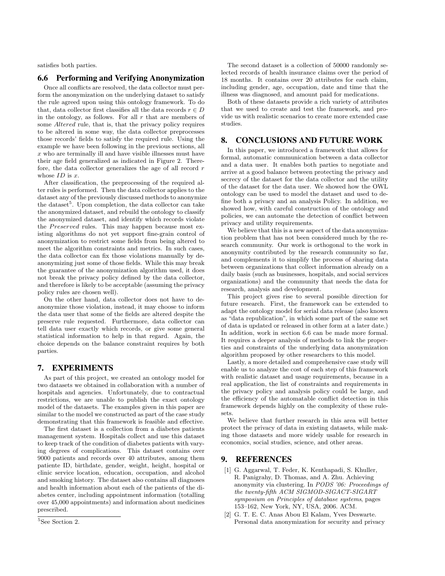satisfies both parties.

## 6.6 Performing and Verifying Anonymization

Once all conflicts are resolved, the data collector must perform the anonymization on the underlying dataset to satisfy the rule agreed upon using this ontology framework. To do that, data collector first classifies all the data records  $r \in D$ in the ontology, as follows. For all  $r$  that are members of some Altered rule, that is, that the privacy policy requires to be altered in some way, the data collector preprocesses those records' fields to satisfy the required rule. Using the example we have been following in the previous sections, all  $x$  who are terminally ill and have visible illnesses must have their age field generalized as indicated in Figure 2. Therefore, the data collector generalizes the age of all record r whose  $ID$  is  $r$ .

After classification, the preprocessing of the required alter rules is performed. Then the data collector applies to the dataset any of the previously discussed methods to anonymize the dataset<sup>5</sup>. Upon completion, the data collector can take the anonymized dataset, and rebuild the ontology to classify the anonymized dataset, and identify which records violate the Preserved rules. This may happen because most existing algorithms do not yet support fine-grain control of anonymization to restrict some fields from being altered to meet the algorithm constraints and metrics. In such cases, the data collector can fix those violations manually by deanonymizing just some of those fields. While this may break the guarantee of the anonymization algorithm used, it does not break the privacy policy defined by the data collector, and therefore is likely to be acceptable (assuming the privacy policy rules are chosen well).

On the other hand, data collector does not have to deanonymize those violation, instead, it may choose to inform the data user that some of the fields are altered despite the preserve rule requested. Furthermore, data collector can tell data user exactly which records, or give some general statistical information to help in that regard. Again, the choice depends on the balance constraint requires by both parties.

# 7. EXPERIMENTS

As part of this project, we created an ontology model for two datasets we obtained in collaboration with a number of hospitals and agencies. Unfortunately, due to contractual restrictions, we are unable to publish the exact ontology model of the datasets. The examples given in this paper are similar to the model we constructed as part of the case study demonstrating that this framework is feasible and effective.

The first dataset is a collection from a diabetes patients management system. Hospitals collect and use this dataset to keep track of the condition of diabetes patients with varying degrees of complications. This dataset contains over 9000 patients and records over 40 attributes, among them patiente ID, birthdate, gender, weight, height, hospital or clinic service location, education, occupation, and alcohol and smoking history. The dataset also contains all diagnoses and health information about each of the patients of the diabetes center, including appointment information (totalling over 45,000 appointments) and information about medicines prescribed.

The second dataset is a collection of 50000 randomly selected records of health insurance claims over the period of 18 months. It contains over 20 attributes for each claim, including gender, age, occupation, date and time that the illness was diagnosed, and amount paid for medications.

Both of these datasets provide a rich variety of attributes that we used to create and test the framework, and provide us with realistic scenarios to create more extended case studies.

# 8. CONCLUSIONS AND FUTURE WORK

In this paper, we introduced a framework that allows for formal, automatic communication between a data collector and a data user. It enables both parties to negotiate and arrive at a good balance between protecting the privacy and secrecy of the dataset for the data collector and the utility of the dataset for the data user. We showed how the OWL ontology can be used to model the dataset and used to define both a privacy and an analysis Policy. In addition, we showed how, with careful construction of the ontology and policies, we can automate the detection of conflict between privacy and utility requirements.

We believe that this is a new aspect of the data anonymization problem that has not been considered much by the research community. Our work is orthogonal to the work in anonymity contributed by the research community so far, and complements it to simplify the process of sharing data between organizations that collect information already on a daily basis (such as businesses, hospitals, and social services organizations) and the community that needs the data for research, analysis and development.

This project gives rise to several possible direction for future research. First, the framework can be extended to adapt the ontology model for serial data release (also known as "data republication", in which some part of the same set of data is updated or released in other form at a later date.) In addition, work in section 6.6 can be made more formal. It requires a deeper analysis of methods to link the properties and constraints of the underlying data anonymization algorithm proposed by other researchers to this model.

Lastly, a more detailed and comprehensive case study will enable us to analyze the cost of each step of this framework with realistic dataset and usage requirements, because in a real application, the list of constraints and requirements in the privacy policy and analysis policy could be large, and the efficiency of the automatable conflict detection in this framework depends highly on the complexity of these rulesets.

We believe that further research in this area will better protect the privacy of data in existing datasets, while making those datasets and more widely usable for research in economics, social studies, science, and other areas.

# 9. REFERENCES

- [1] G. Aggarwal, T. Feder, K. Kenthapadi, S. Khuller, R. Panigrahy, D. Thomas, and A. Zhu. Achieving anonymity via clustering. In *PODS '06: Proceedings of the twenty-fifth ACM SIGMOD-SIGACT-SIGART symposium on Principles of database systems*, pages 153–162, New York, NY, USA, 2006. ACM.
- [2] G. T. E. C. Anas Abou El Kalam, Yves Deswarte. Personal data anonymization for security and privacy

<sup>&</sup>lt;sup>5</sup>See Section 2.